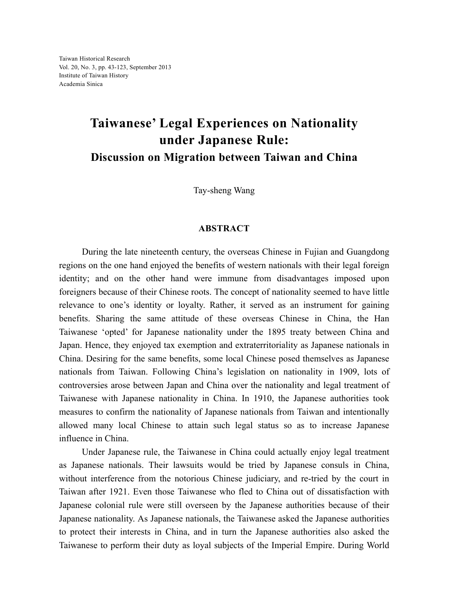## **Taiwanese' Legal Experiences on Nationality under Japanese Rule: Discussion on Migration between Taiwan and China**

Tay-sheng Wang

## **ABSTRACT**

During the late nineteenth century, the overseas Chinese in Fujian and Guangdong regions on the one hand enjoyed the benefits of western nationals with their legal foreign identity; and on the other hand were immune from disadvantages imposed upon foreigners because of their Chinese roots. The concept of nationality seemed to have little relevance to one's identity or loyalty. Rather, it served as an instrument for gaining benefits. Sharing the same attitude of these overseas Chinese in China, the Han Taiwanese 'opted' for Japanese nationality under the 1895 treaty between China and Japan. Hence, they enjoyed tax exemption and extraterritoriality as Japanese nationals in China. Desiring for the same benefits, some local Chinese posed themselves as Japanese nationals from Taiwan. Following China's legislation on nationality in 1909, lots of controversies arose between Japan and China over the nationality and legal treatment of Taiwanese with Japanese nationality in China. In 1910, the Japanese authorities took measures to confirm the nationality of Japanese nationals from Taiwan and intentionally allowed many local Chinese to attain such legal status so as to increase Japanese influence in China.

Under Japanese rule, the Taiwanese in China could actually enjoy legal treatment as Japanese nationals. Their lawsuits would be tried by Japanese consuls in China, without interference from the notorious Chinese judiciary, and re-tried by the court in Taiwan after 1921. Even those Taiwanese who fled to China out of dissatisfaction with Japanese colonial rule were still overseen by the Japanese authorities because of their Japanese nationality. As Japanese nationals, the Taiwanese asked the Japanese authorities to protect their interests in China, and in turn the Japanese authorities also asked the Taiwanese to perform their duty as loyal subjects of the Imperial Empire. During World